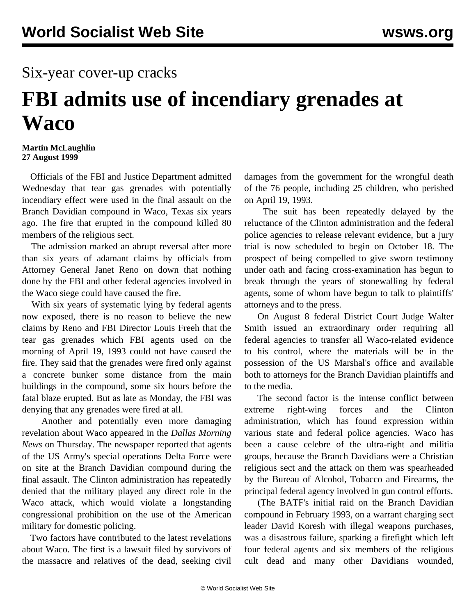## Six-year cover-up cracks

## **FBI admits use of incendiary grenades at Waco**

## **Martin McLaughlin 27 August 1999**

 Officials of the FBI and Justice Department admitted Wednesday that tear gas grenades with potentially incendiary effect were used in the final assault on the Branch Davidian compound in Waco, Texas six years ago. The fire that erupted in the compound killed 80 members of the religious sect.

 The admission marked an abrupt reversal after more than six years of adamant claims by officials from Attorney General Janet Reno on down that nothing done by the FBI and other federal agencies involved in the Waco siege could have caused the fire.

 With six years of systematic lying by federal agents now exposed, there is no reason to believe the new claims by Reno and FBI Director Louis Freeh that the tear gas grenades which FBI agents used on the morning of April 19, 1993 could not have caused the fire. They said that the grenades were fired only against a concrete bunker some distance from the main buildings in the compound, some six hours before the fatal blaze erupted. But as late as Monday, the FBI was denying that any grenades were fired at all.

 Another and potentially even more damaging revelation about Waco appeared in the *Dallas Morning News* on Thursday. The newspaper reported that agents of the US Army's special operations Delta Force were on site at the Branch Davidian compound during the final assault. The Clinton administration has repeatedly denied that the military played any direct role in the Waco attack, which would violate a longstanding congressional prohibition on the use of the American military for domestic policing.

 Two factors have contributed to the latest revelations about Waco. The first is a lawsuit filed by survivors of the massacre and relatives of the dead, seeking civil damages from the government for the wrongful death of the 76 people, including 25 children, who perished on April 19, 1993.

 The suit has been repeatedly delayed by the reluctance of the Clinton administration and the federal police agencies to release relevant evidence, but a jury trial is now scheduled to begin on October 18. The prospect of being compelled to give sworn testimony under oath and facing cross-examination has begun to break through the years of stonewalling by federal agents, some of whom have begun to talk to plaintiffs' attorneys and to the press.

 On August 8 federal District Court Judge Walter Smith issued an extraordinary order requiring all federal agencies to transfer all Waco-related evidence to his control, where the materials will be in the possession of the US Marshal's office and available both to attorneys for the Branch Davidian plaintiffs and to the media.

 The second factor is the intense conflict between extreme right-wing forces and the Clinton administration, which has found expression within various state and federal police agencies. Waco has been a cause celebre of the ultra-right and militia groups, because the Branch Davidians were a Christian religious sect and the attack on them was spearheaded by the Bureau of Alcohol, Tobacco and Firearms, the principal federal agency involved in gun control efforts.

 (The BATF's initial raid on the Branch Davidian compound in February 1993, on a warrant charging sect leader David Koresh with illegal weapons purchases, was a disastrous failure, sparking a firefight which left four federal agents and six members of the religious cult dead and many other Davidians wounded,